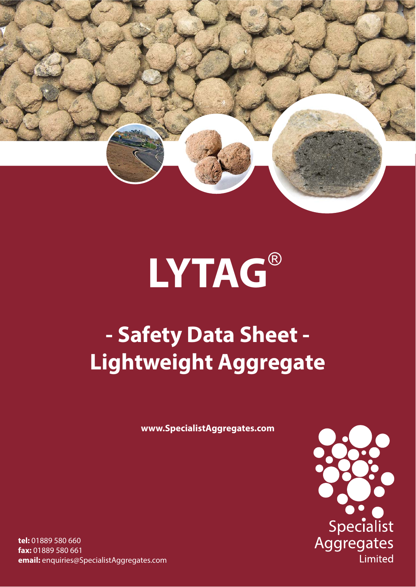

# **LYTAG<sup>®</sup><br>
Safety Data Sheet -**

## **- Safety Data Sheet - Lightweight Aggregate**

**www.SpecialistAggregates.com**

tel: 01889 580 660 **fax: 01889 580 661 amail**: enquiries@S **email:** enquiries@SpecialistAggregates.com

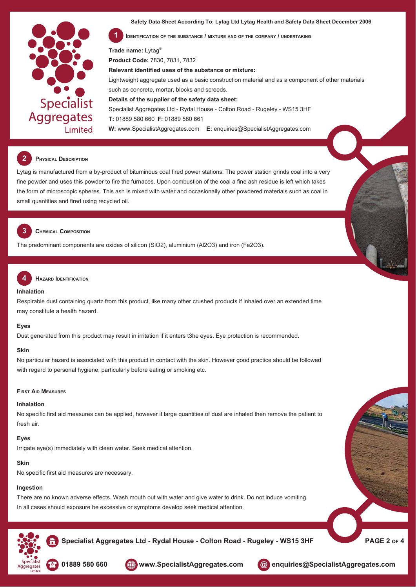#### **Safety Data Sheet According To: Lytag Ltd Lytag Health and Safety Data Sheet December 2006**



**1**

 **IDENTIFICATION OF THE SUBSTANCE / MIXTURE AND OF THE COMPANY / UNDERTAKING**

**Trade name:** Lytag® **Product Code:** 7830, 7831, 7832 **Relevant identified uses of the substance or mixture:** Lightweight aggregate used as a basic construction material and as a component of other materials such as concrete, mortar, blocks and screeds. **Details of the supplier of the safety data sheet:** Specialist Aggregates Ltd - Rydal House - Colton Road - Rugeley - WS15 3HF **T:** 01889 580 660 **F:** 01889 580 661 **W:** www.SpecialistAggregates.com **E:** enquiries@SpecialistAggregates.com

#### **2 PHYSICAL DESCRIPTION**

Lytag is manufactured from a by-product of bituminous coal fired power stations. The power station grinds coal into a very fine powder and uses this powder to fire the furnaces. Upon combustion of the coal a fine ash residue is left which takes the form of microscopic spheres. This ash is mixed with water and occasionally other powdered materials such as coal in small quantities and fired using recycled oil.



#### **CHEMICAL COMPOSITION**

The predominant components are oxides of silicon (SiO2), aluminium (Al2O3) and iron (Fe2O3).

#### **HAZARD IDENTIFICATION**

#### **Inhalation**

**4**

Respirable dust containing quartz from this product, like many other crushed products if inhaled over an extended time may constitute a health hazard.

#### **Eyes**

Dust generated from this product may result in irritation if it enters t3he eyes. Eye protection is recommended.

#### **Skin**

No particular hazard is associated with this product in contact with the skin. However good practice should be followed with regard to personal hygiene, particularly before eating or smoking etc.

#### **FIRST AID MEASURES**

#### **Inhalation**

No specific first aid measures can be applied, however if large quantities of dust are inhaled then remove the patient to fresh air.

#### **Eyes**

Irrigate eye(s) immediately with clean water. Seek medical attention.

#### **Skin**

No specific first aid measures are necessary.

#### **Ingestion**

There are no known adverse effects. Wash mouth out with water and give water to drink. Do not induce vomiting. In all cases should exposure be excessive or symptoms develop seek medical attention.



**Specialist Aggregates Ltd - Rydal House - Colton Road - Rugeley - WS15 3HF**

**PAGE 2 OF 4**







**@ enquiries@SpecialistAggregates.com**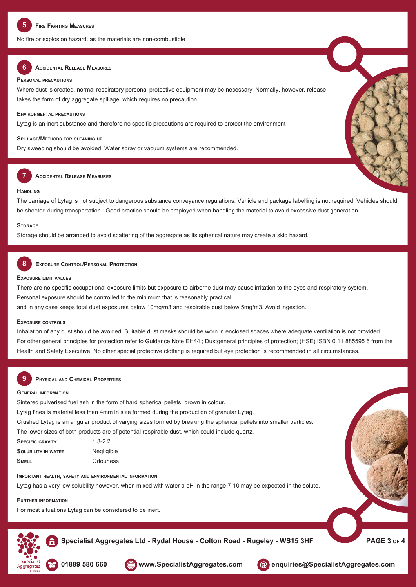

**6**

No fire or explosion hazard, as the materials are non-combustible

#### **ACCIDENTAL RELEASE MEASURES**

#### **PERSONAL PRECAUTIONS**

Where dust is created, normal respiratory personal protective equipment may be necessary. Normally, however, release takes the form of dry aggregate spillage, which requires no precaution

#### **ENVIRONMENTAL PRECAUTIONS**

Lytag is an inert substance and therefore no specific precautions are required to protect the environment

#### **SPILLAGE/METHODS FOR CLEANING UP**

Dry sweeping should be avoided. Water spray or vacuum systems are recommended.

#### **ACCIDENTAL RELEASE MEASURES**

#### **HANDLING**

**7**

The carriage of Lytag is not subject to dangerous substance conveyance regulations. Vehicle and package labelling is not required. Vehicles should be sheeted during transportation. Good practice should be employed when handling the material to avoid excessive dust generation.

#### **STORAGE**

**8**

Storage should be arranged to avoid scattering of the aggregate as its spherical nature may create a skid hazard.

#### **EXPOSURE CONTROL/PERSONAL PROTECTION**

#### **EXPOSURE LIMIT VALUES**

There are no specific occupational exposure limits but exposure to airborne dust may cause irritation to the eyes and respiratory system.

Personal exposure should be controlled to the minimum that is reasonably practical

and in any case keeps total dust exposures below 10mg/m3 and respirable dust below 5mg/m3. Avoid ingestion.

#### **EXPOSURE CONTROLS**

Inhalation of any dust should be avoided. Suitable dust masks should be worn in enclosed spaces where adequate ventilation is not provided. For other general principles for protection refer to Guidance Note EH44 ; Dustgeneral principles of protection; (HSE) ISBN 0 11 885595 6 from the Health and Safety Executive. No other special protective clothing is required but eye protection is recommended in all circumstances.

#### **PHYSICAL AND CHEMICAL PROPERTIES**

#### **GENERAL INFORMATION**

**9**

Sintered pulverised fuel ash in the form of hard spherical pellets, brown in colour.

Lytag fines is material less than 4mm in size formed during the production of granular Lytag.

Crushed Lytag is an angular product of varying sizes formed by breaking the spherical pellets into smaller particles.

The lower sizes of both products are of potential respirable dust, which could include quartz.

| <b>SPECIFIC GRAVITY</b>    | $1.3 - 2.2$       |
|----------------------------|-------------------|
| <b>SOLUBILITY IN WATER</b> | <b>Negligible</b> |
| <b>SMELL</b>               | <b>Odourless</b>  |

#### **IMPORTANT HEALTH, SAFETY AND ENVIRONMENTAL INFORMATION**

Lytag has a very low solubility however, when mixed with water a pH in the range 7-10 may be expected in the solute.

#### **FURTHER INFORMATION**

For most situations Lytag can be considered to be inert.





**Specialist Aggregates Ltd - Rydal House - Colton Road - Rugeley - WS15 3HF**







**@ enquiries@SpecialistAggregates.com**